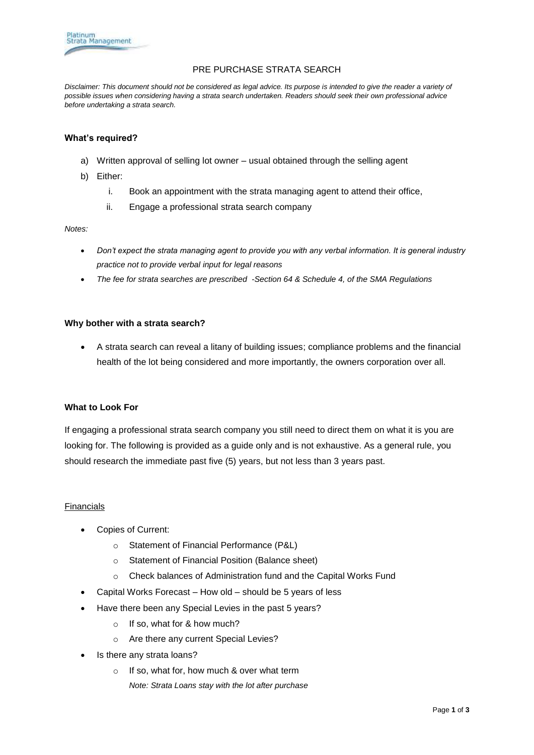

## PRE PURCHASE STRATA SEARCH

*Disclaimer: This document should not be considered as legal advice. Its purpose is intended to give the reader a variety of possible issues when considering having a strata search undertaken. Readers should seek their own professional advice before undertaking a strata search.*

### **What's required?**

- a) Written approval of selling lot owner usual obtained through the selling agent
- b) Either:
	- i. Book an appointment with the strata managing agent to attend their office,
	- ii. Engage a professional strata search company

#### *Notes:*

- *Don't expect the strata managing agent to provide you with any verbal information. It is general industry practice not to provide verbal input for legal reasons*
- *The fee for strata searches are prescribed -Section 64 & Schedule 4, of the SMA Regulations*

#### **Why bother with a strata search?**

 A strata search can reveal a litany of building issues; compliance problems and the financial health of the lot being considered and more importantly, the owners corporation over all.

### **What to Look For**

If engaging a professional strata search company you still need to direct them on what it is you are looking for. The following is provided as a guide only and is not exhaustive. As a general rule, you should research the immediate past five (5) years, but not less than 3 years past.

### Financials

- Copies of Current:
	- o Statement of Financial Performance (P&L)
	- o Statement of Financial Position (Balance sheet)
	- o Check balances of Administration fund and the Capital Works Fund
- Capital Works Forecast How old should be 5 years of less
- Have there been any Special Levies in the past 5 years?
	- o If so, what for & how much?
	- o Are there any current Special Levies?
- Is there any strata loans?
	- o If so, what for, how much & over what term
		- *Note: Strata Loans stay with the lot after purchase*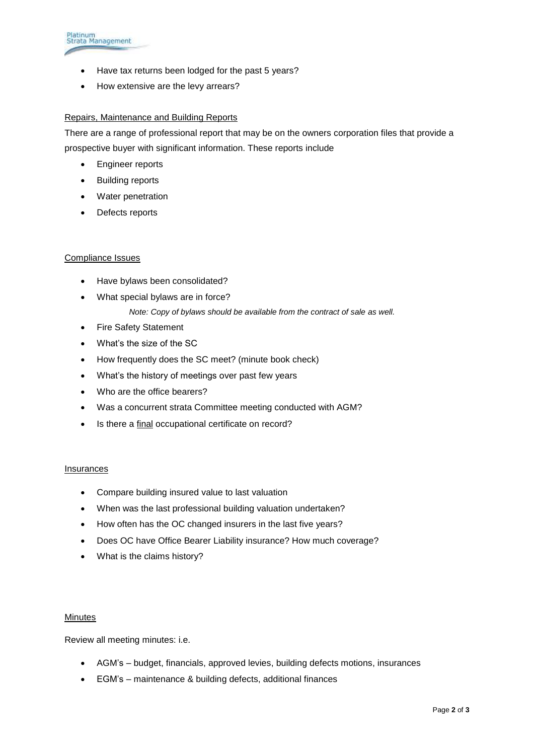

- Have tax returns been lodged for the past 5 years?
- How extensive are the levy arrears?

## Repairs, Maintenance and Building Reports

There are a range of professional report that may be on the owners corporation files that provide a prospective buyer with significant information. These reports include

- **•** Engineer reports
- Building reports
- Water penetration
- Defects reports

## Compliance Issues

- Have bylaws been consolidated?
- What special bylaws are in force?
	- *Note: Copy of bylaws should be available from the contract of sale as well.*
- Fire Safety Statement
- What's the size of the SC
- How frequently does the SC meet? (minute book check)
- What's the history of meetings over past few years
- Who are the office bearers?
- Was a concurrent strata Committee meeting conducted with AGM?
- Is there a final occupational certificate on record?

### Insurances

- Compare building insured value to last valuation
- When was the last professional building valuation undertaken?
- How often has the OC changed insurers in the last five years?
- Does OC have Office Bearer Liability insurance? How much coverage?
- What is the claims history?

### **Minutes**

Review all meeting minutes: i.e.

- AGM's budget, financials, approved levies, building defects motions, insurances
- EGM's maintenance & building defects, additional finances